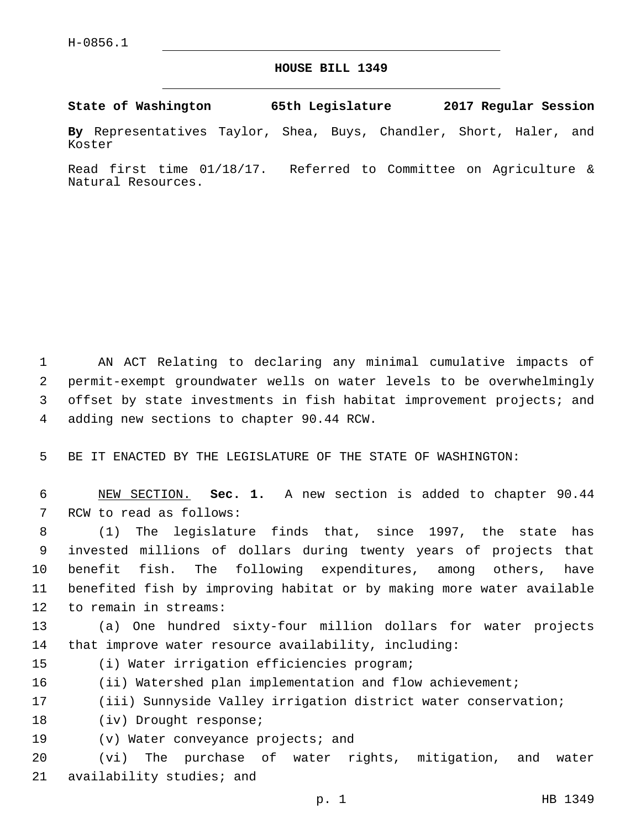## **HOUSE BILL 1349**

**State of Washington 65th Legislature 2017 Regular Session**

**By** Representatives Taylor, Shea, Buys, Chandler, Short, Haler, and Koster

Read first time 01/18/17. Referred to Committee on Agriculture & Natural Resources.

 AN ACT Relating to declaring any minimal cumulative impacts of permit-exempt groundwater wells on water levels to be overwhelmingly offset by state investments in fish habitat improvement projects; and 4 adding new sections to chapter 90.44 RCW.

5 BE IT ENACTED BY THE LEGISLATURE OF THE STATE OF WASHINGTON:

6 NEW SECTION. **Sec. 1.** A new section is added to chapter 90.44 7 RCW to read as follows:

 (1) The legislature finds that, since 1997, the state has invested millions of dollars during twenty years of projects that benefit fish. The following expenditures, among others, have benefited fish by improving habitat or by making more water available 12 to remain in streams:

13 (a) One hundred sixty-four million dollars for water projects 14 that improve water resource availability, including:

- 15 (i) Water irrigation efficiencies program;
- 16 (ii) Watershed plan implementation and flow achievement;
- 17 (iii) Sunnyside Valley irrigation district water conservation;
- 18 (iv) Drought response;
- 19 (v) Water conveyance projects; and

20 (vi) The purchase of water rights, mitigation, and water 21 availability studies; and